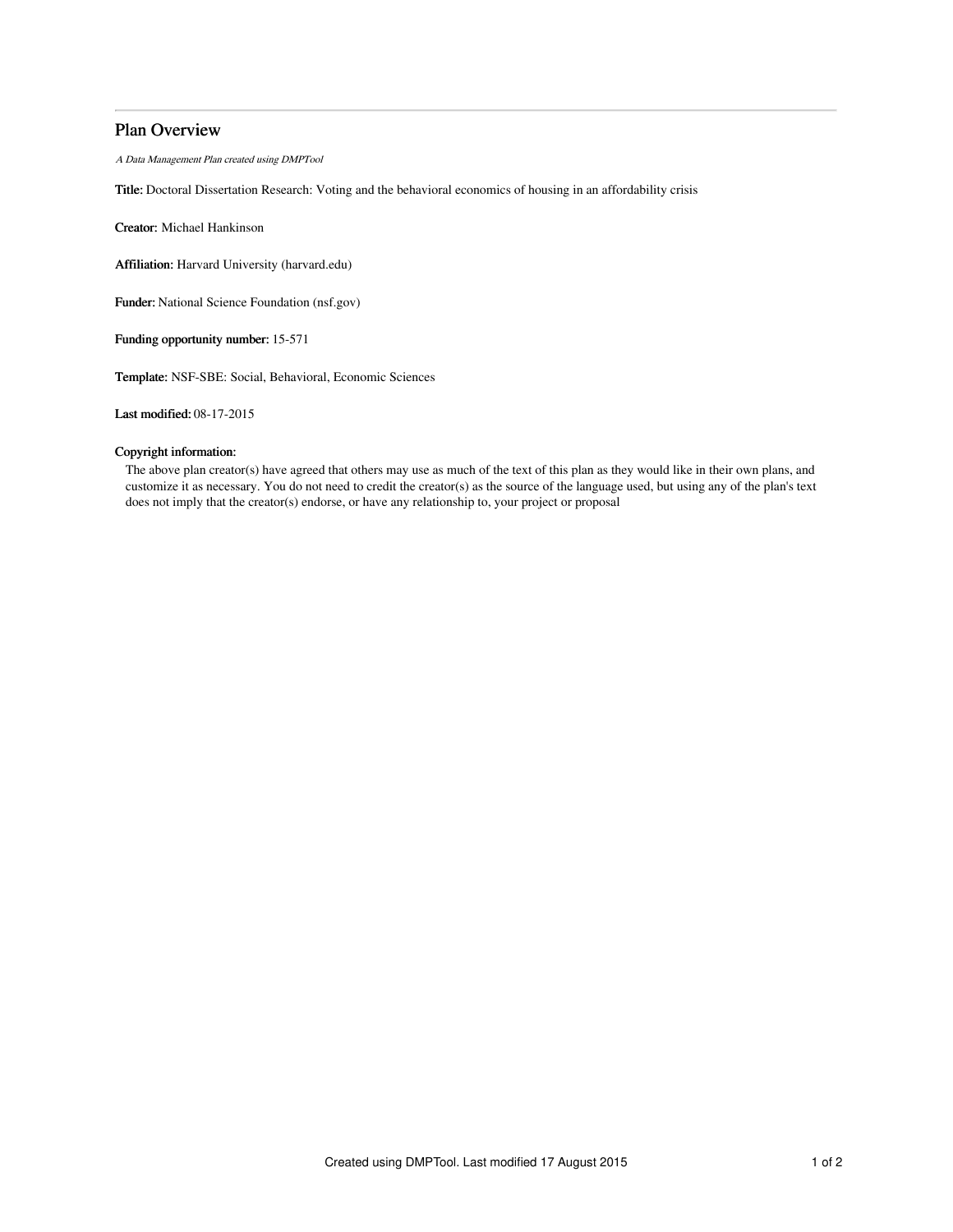## Plan Overview

A Data Management Plan created using DMPTool

Title: Doctoral Dissertation Research: Voting and the behavioral economics of housing in an affordability crisis

Creator: Michael Hankinson

Affiliation: Harvard University (harvard.edu)

Funder: National Science Foundation (nsf.gov)

Funding opportunity number: 15-571

Template: NSF-SBE: Social, Behavioral, Economic Sciences

Last modified: 08-17-2015

### Copyright information:

The above plan creator(s) have agreed that others may use as much of the text of this plan as they would like in their own plans, and customize it as necessary. You do not need to credit the creator(s) as the source of the language used, but using any of the plan's text does not imply that the creator(s) endorse, or have any relationship to, your project or proposal